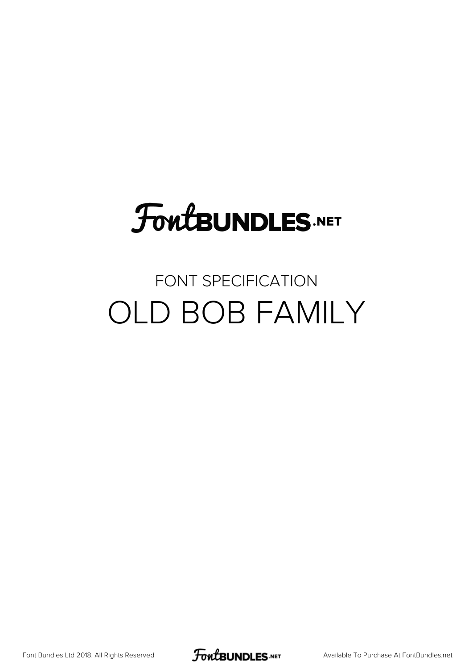# **FoutBUNDLES.NET**

### FONT SPECIFICATION OLD BOB FAMILY

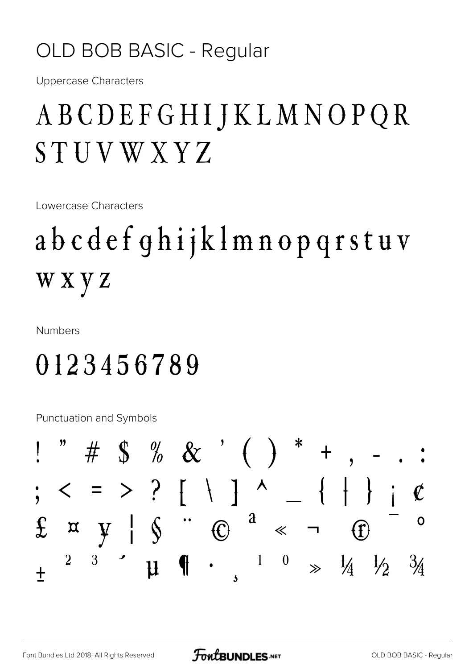#### OLD BOB BASIC - Regular

**Uppercase Characters** 

## ABCDEFGHIJKLMNOPQR STUVWXYZ

Lowercase Characters

# abcdefghijklmnopqrstuv wxyz

**Numbers** 

### 0123456789

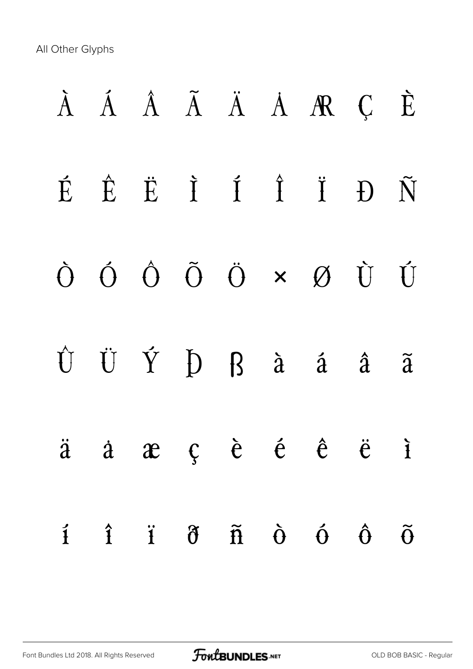|  |                                        |  | À Á Â Ã Ä Ä A R Ç È                                                                                                             |                         |                      |
|--|----------------------------------------|--|---------------------------------------------------------------------------------------------------------------------------------|-------------------------|----------------------|
|  |                                        |  | $\acute{E} \quad \acute{E} \quad \ddot{E} \quad \ddot{I} \quad \acute{I} \quad \ddot{I} \quad \ddot{I} \quad D \quad \tilde{N}$ |                         |                      |
|  |                                        |  | $\begin{array}{ccccccccccccc}\n\dot{O} & \dot{O} & \dot{O} & \ddot{O} & \times & \mathcal{O} & \dot{U} & \dot{U}\n\end{array}$  |                         |                      |
|  |                                        |  | $\hat{U}~~\ddot{U}~~\dot{Y}~~\dot{D}~~\dot{B}~~\dot{a}~~\dot{a}~~\ddot{a}~~\ddot{a}$                                            |                         |                      |
|  |                                        |  | $\ddot{a}$ $\dot{a}$ $\dot{a}$ $\dot{c}$ $\dot{e}$ $\dot{e}$ $\dot{e}$ $\ddot{e}$ $\ddot{c}$ $\ddot{c}$                         |                         |                      |
|  | $\mathbf{i}$ $\mathbf{j}$ $\mathbf{k}$ |  | $\tilde{n}$ $\dot{\theta}$ $\dot{\theta}$                                                                                       | $\mathbf{\hat{\theta}}$ | $\widetilde{\theta}$ |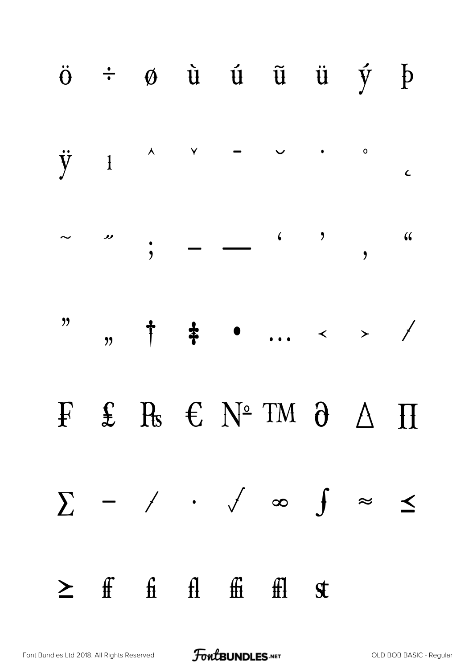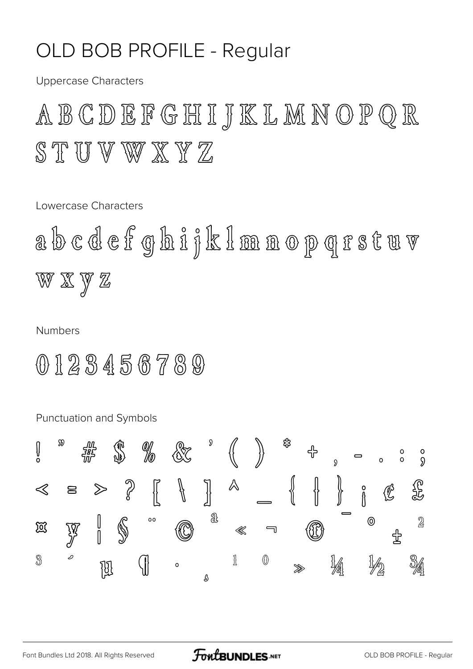#### OLD BOB PROFILE - Regular

**Uppercase Characters** 

ABCDEFGHIJKLMNOPQR STUVWXYZ

Lowercase Characters

abcdefghifklmanopgrstuv W X Y Z

**Numbers** 

0123456789

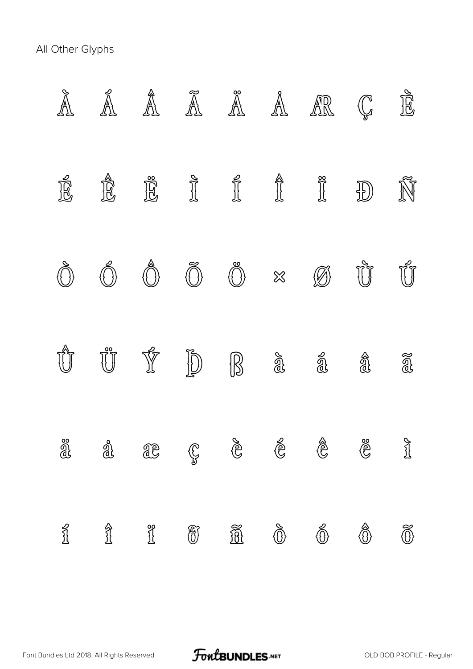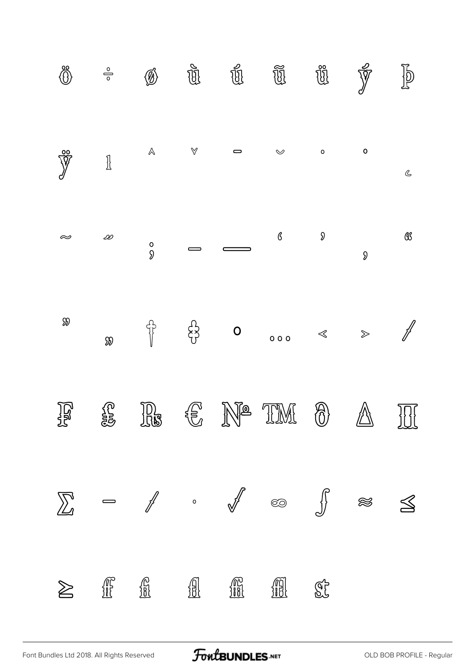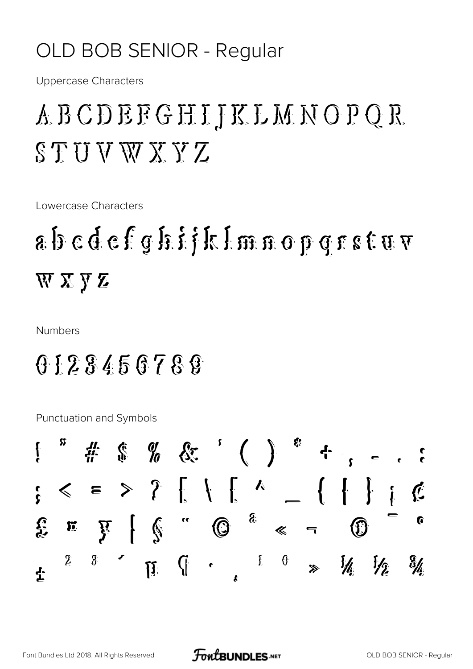#### OLD BOB SENIOR - Regular

**Uppercase Characters** 

### *ABCDEEGHIJKLMNOPQR*  $STUWXXYZ$

Lowercase Characters

## $a$  bedefoliklmnoporstuv WXYZ

**Numbers** 

#### 0123450788

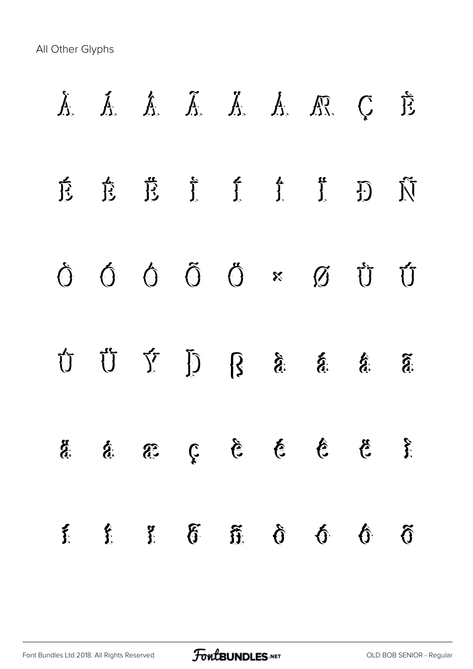| $\sum_{i=1}^{n}$ | $\hat{\mathbf{f}}$ | $\delta$ | $\tilde{u}$ $\tilde{u}$ | $\mathbf{\hat{p}}$                                                                                                                                                                                                                                                                                                                                                                            | $\hat{\theta}$ | $\mathfrak{H}$ |
|------------------|--------------------|----------|-------------------------|-----------------------------------------------------------------------------------------------------------------------------------------------------------------------------------------------------------------------------------------------------------------------------------------------------------------------------------------------------------------------------------------------|----------------|----------------|
| <b>ECC</b>       |                    |          |                         | $\frac{2}{3}$ $\frac{3}{5}$ $\frac{3}{5}$ $\frac{3}{5}$ $\frac{3}{5}$ $\frac{3}{5}$                                                                                                                                                                                                                                                                                                           |                |                |
|                  |                    |          |                         | $\begin{array}{cccccccccccccc} \hat{S} & \hat{S} & \hat{S} & \hat{S} & \hat{S} & \hat{C} & \hat{C} & \hat{C} & \hat{C} & \hat{C} & \hat{C} & \hat{C} & \hat{C} & \hat{C} & \hat{C} & \hat{C} & \hat{C} & \hat{C} & \hat{C} & \hat{C} & \hat{C} & \hat{C} & \hat{C} & \hat{C} & \hat{C} & \hat{C} & \hat{C} & \hat{C} & \hat{C} & \hat{C} & \hat{C} & \hat{C} & \hat{C} & \hat{C} & \hat{C} &$ |                |                |
|                  |                    |          |                         |                                                                                                                                                                                                                                                                                                                                                                                               |                |                |
|                  |                    |          |                         | 京 竞 茂 了 了 了 了 了 页                                                                                                                                                                                                                                                                                                                                                                             |                |                |
|                  |                    |          |                         | A. A. A. A. A. A. C. È                                                                                                                                                                                                                                                                                                                                                                        |                |                |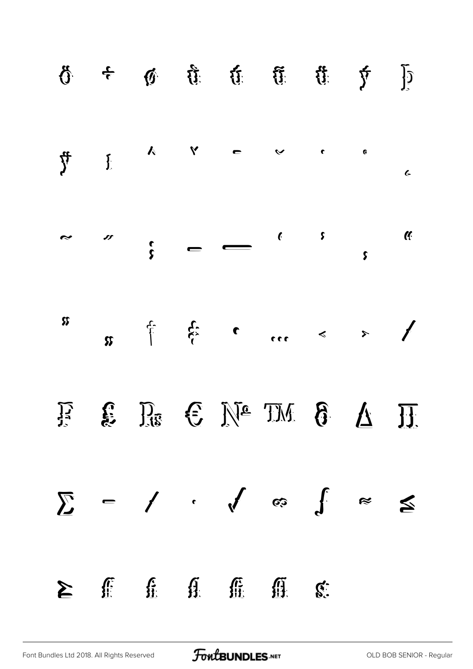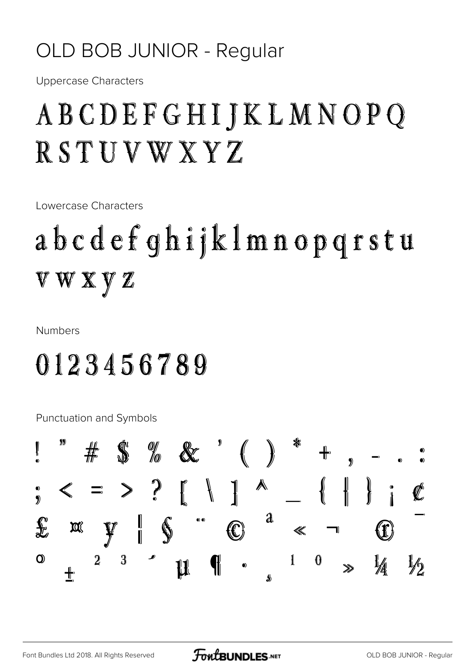#### OLD BOB JUNIOR - Regular

**Uppercase Characters** 

## ABCDEFGHIJKLMNOPQ RSTUVWXYZ

Lowercase Characters

# abcdefghijklmnopgrstu V W X Y Z

**Numbers** 

### 0123456789

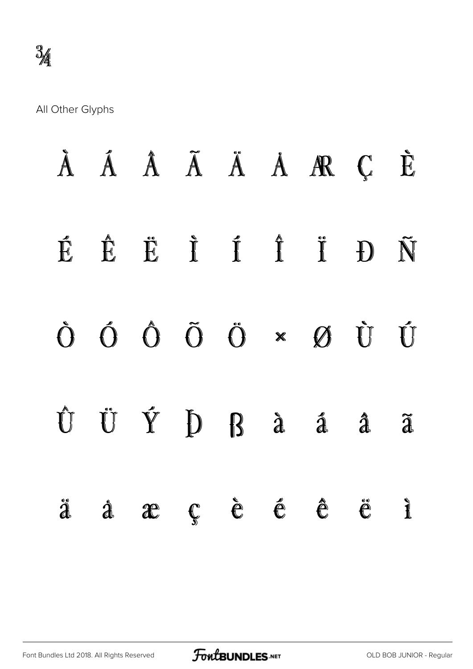|  |  |  | À Á Â Ã Ä Ä Å Æ Ç È                                                    |                     |                          |
|--|--|--|------------------------------------------------------------------------|---------------------|--------------------------|
|  |  |  | ÉÊË Ë İ Í Î İ Đ Ñ                                                      |                     |                          |
|  |  |  |                                                                        |                     |                          |
|  |  |  | Û Ü Ý Þ ß à á â                                                        |                     | $\widetilde{\mathbf{d}}$ |
|  |  |  | $\ddot{a}$ $\dot{a}$ $\dot{a}$ $\dot{c}$ $\dot{e}$ $\dot{e}$ $\dot{e}$ | $\ddot{\mathbf{e}}$ | $\mathbf{r}$             |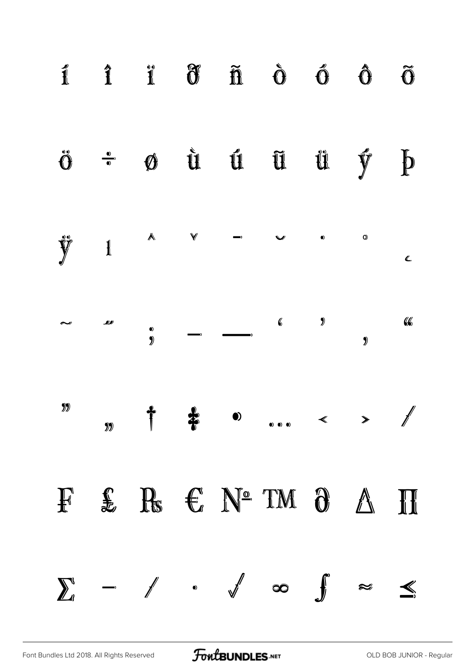

[Font Bundles Ltd 2018. All Rights Reserved](https://fontbundles.net/) **FoutBUNDLES.NET** [OLD BOB JUNIOR - Regular](https://fontbundles.net/)